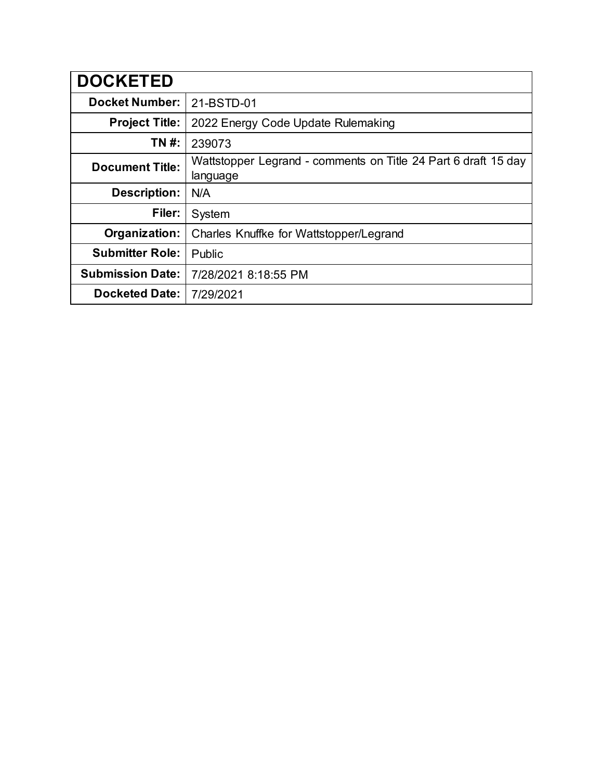| <b>DOCKETED</b>         |                                                                            |
|-------------------------|----------------------------------------------------------------------------|
| <b>Docket Number:</b>   | 21-BSTD-01                                                                 |
| <b>Project Title:</b>   | 2022 Energy Code Update Rulemaking                                         |
| TN #:                   | 239073                                                                     |
| <b>Document Title:</b>  | Wattstopper Legrand - comments on Title 24 Part 6 draft 15 day<br>language |
| <b>Description:</b>     | N/A                                                                        |
| Filer:                  | System                                                                     |
| Organization:           | Charles Knuffke for Wattstopper/Legrand                                    |
| <b>Submitter Role:</b>  | Public                                                                     |
| <b>Submission Date:</b> | 7/28/2021 8:18:55 PM                                                       |
| <b>Docketed Date:</b>   | 7/29/2021                                                                  |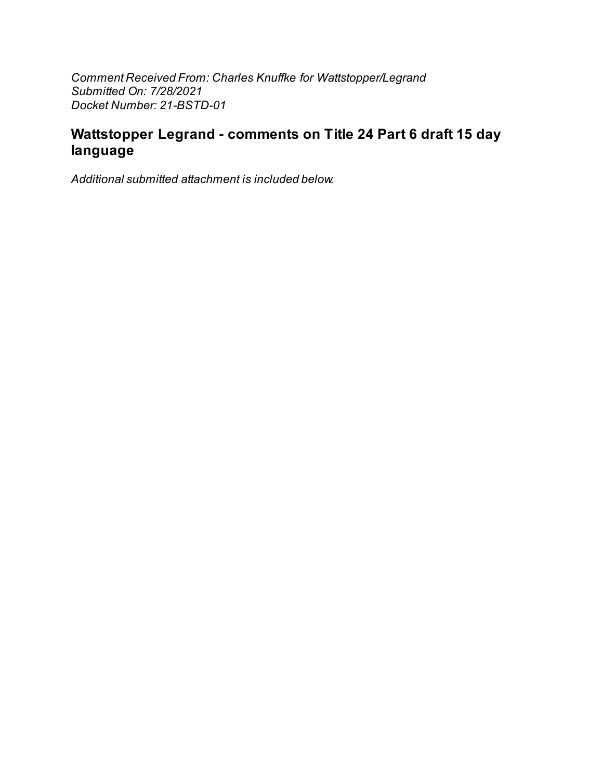Comment Received From: Charles Knuffke for Wattstopper/Legrand Submitted On: 7/28/2021 Docket Number: 21-BSTD-01

# Wattstopper Legrand - comments on Title 24 Part 6 draft 15 day language

Additional submitted attachment is included below.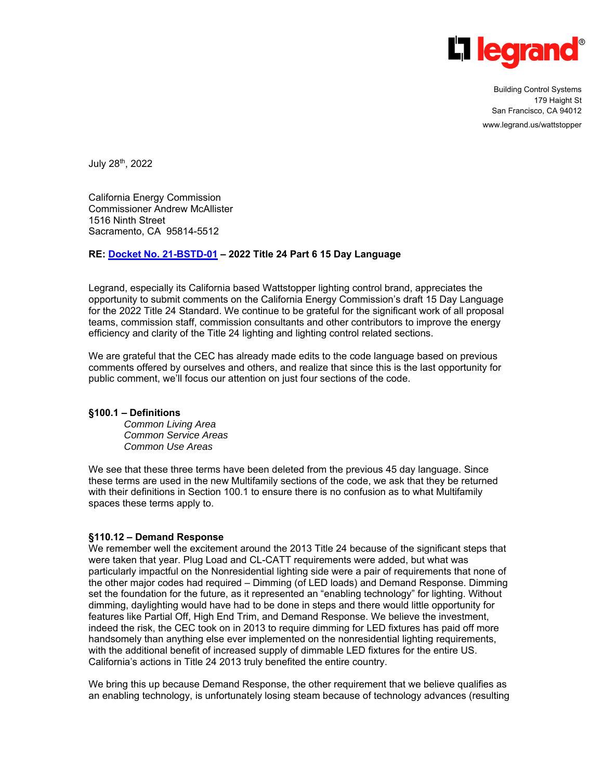

Building Control Systems 179 Haight St San Francisco, CA 94012 www.legrand.us/wattstopper

July 28th, 2022

California Energy Commission Commissioner Andrew McAllister 1516 Ninth Street Sacramento, CA 95814-5512

## **RE: Docket No. 21-BSTD-01 – 2022 Title 24 Part 6 15 Day Language**

Legrand, especially its California based Wattstopper lighting control brand, appreciates the opportunity to submit comments on the California Energy Commission's draft 15 Day Language for the 2022 Title 24 Standard. We continue to be grateful for the significant work of all proposal teams, commission staff, commission consultants and other contributors to improve the energy efficiency and clarity of the Title 24 lighting and lighting control related sections.

We are grateful that the CEC has already made edits to the code language based on previous comments offered by ourselves and others, and realize that since this is the last opportunity for public comment, we'll focus our attention on just four sections of the code.

#### **§100.1 – Definitions**

*Common Living Area Common Service Areas Common Use Areas* 

We see that these three terms have been deleted from the previous 45 day language. Since these terms are used in the new Multifamily sections of the code, we ask that they be returned with their definitions in Section 100.1 to ensure there is no confusion as to what Multifamily spaces these terms apply to.

#### **§110.12 – Demand Response**

We remember well the excitement around the 2013 Title 24 because of the significant steps that were taken that year. Plug Load and CL-CATT requirements were added, but what was particularly impactful on the Nonresidential lighting side were a pair of requirements that none of the other major codes had required – Dimming (of LED loads) and Demand Response. Dimming set the foundation for the future, as it represented an "enabling technology" for lighting. Without dimming, daylighting would have had to be done in steps and there would little opportunity for features like Partial Off, High End Trim, and Demand Response. We believe the investment, indeed the risk, the CEC took on in 2013 to require dimming for LED fixtures has paid off more handsomely than anything else ever implemented on the nonresidential lighting requirements, with the additional benefit of increased supply of dimmable LED fixtures for the entire US. California's actions in Title 24 2013 truly benefited the entire country.

We bring this up because Demand Response, the other requirement that we believe qualifies as an enabling technology, is unfortunately losing steam because of technology advances (resulting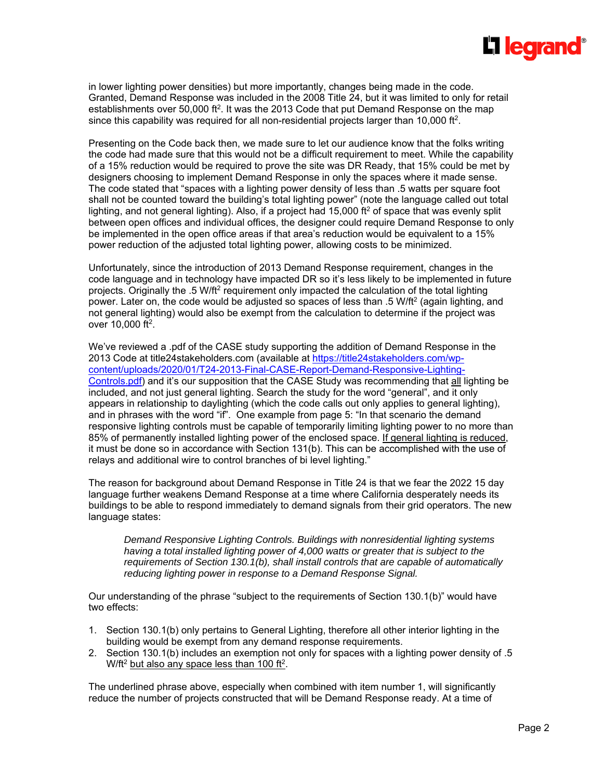

in lower lighting power densities) but more importantly, changes being made in the code. Granted, Demand Response was included in the 2008 Title 24, but it was limited to only for retail establishments over 50,000 ft<sup>2</sup>. It was the 2013 Code that put Demand Response on the map since this capability was required for all non-residential projects larger than 10,000 ft<sup>2</sup>.

Presenting on the Code back then, we made sure to let our audience know that the folks writing the code had made sure that this would not be a difficult requirement to meet. While the capability of a 15% reduction would be required to prove the site was DR Ready, that 15% could be met by designers choosing to implement Demand Response in only the spaces where it made sense. The code stated that "spaces with a lighting power density of less than .5 watts per square foot shall not be counted toward the building's total lighting power" (note the language called out total lighting, and not general lighting). Also, if a project had  $15,000$  ft<sup>2</sup> of space that was evenly split between open offices and individual offices, the designer could require Demand Response to only be implemented in the open office areas if that area's reduction would be equivalent to a 15% power reduction of the adjusted total lighting power, allowing costs to be minimized.

Unfortunately, since the introduction of 2013 Demand Response requirement, changes in the code language and in technology have impacted DR so it's less likely to be implemented in future projects. Originally the .5 W/ft<sup>2</sup> requirement only impacted the calculation of the total lighting power. Later on, the code would be adjusted so spaces of less than .5 W/ft<sup>2</sup> (again lighting, and not general lighting) would also be exempt from the calculation to determine if the project was over  $10,000$  ft<sup>2</sup>.

We've reviewed a .pdf of the CASE study supporting the addition of Demand Response in the 2013 Code at title24stakeholders.com (available at https://title24stakeholders.com/wpcontent/uploads/2020/01/T24-2013-Final-CASE-Report-Demand-Responsive-Lighting-Controls.pdf) and it's our supposition that the CASE Study was recommending that all lighting be included, and not just general lighting. Search the study for the word "general", and it only appears in relationship to daylighting (which the code calls out only applies to general lighting), and in phrases with the word "if". One example from page 5: "In that scenario the demand responsive lighting controls must be capable of temporarily limiting lighting power to no more than 85% of permanently installed lighting power of the enclosed space. If general lighting is reduced, it must be done so in accordance with Section 131(b). This can be accomplished with the use of relays and additional wire to control branches of bi level lighting."

The reason for background about Demand Response in Title 24 is that we fear the 2022 15 day language further weakens Demand Response at a time where California desperately needs its buildings to be able to respond immediately to demand signals from their grid operators. The new language states:

*Demand Responsive Lighting Controls. Buildings with nonresidential lighting systems having a total installed lighting power of 4,000 watts or greater that is subject to the requirements of Section 130.1(b), shall install controls that are capable of automatically reducing lighting power in response to a Demand Response Signal.* 

Our understanding of the phrase "subject to the requirements of Section 130.1(b)" would have two effects:

- 1. Section 130.1(b) only pertains to General Lighting, therefore all other interior lighting in the building would be exempt from any demand response requirements.
- 2. Section 130.1(b) includes an exemption not only for spaces with a lighting power density of .5 W/ft<sup>2</sup> but also any space less than 100 ft<sup>2</sup>.

The underlined phrase above, especially when combined with item number 1, will significantly reduce the number of projects constructed that will be Demand Response ready. At a time of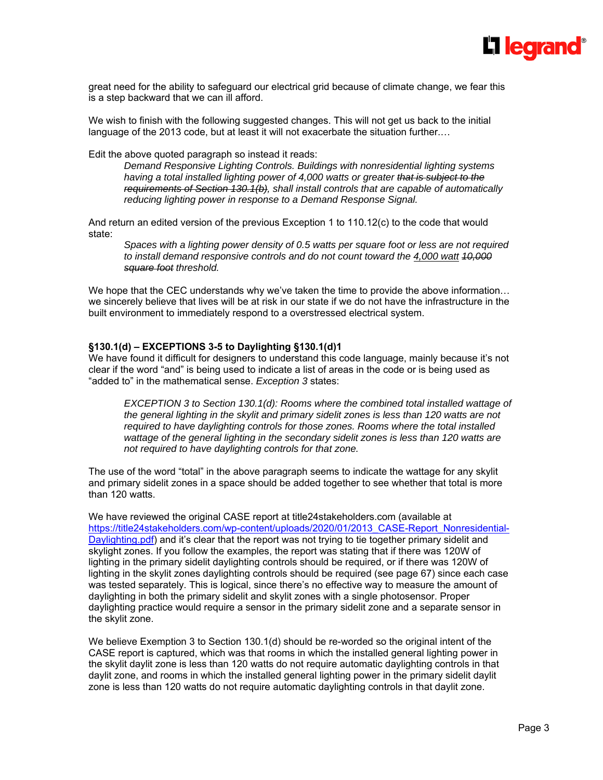

great need for the ability to safeguard our electrical grid because of climate change, we fear this is a step backward that we can ill afford.

We wish to finish with the following suggested changes. This will not get us back to the initial language of the 2013 code, but at least it will not exacerbate the situation further.…

Edit the above quoted paragraph so instead it reads:

*Demand Responsive Lighting Controls. Buildings with nonresidential lighting systems having a total installed lighting power of 4,000 watts or greater that is subject to the requirements of Section 130.1(b), shall install controls that are capable of automatically reducing lighting power in response to a Demand Response Signal.* 

And return an edited version of the previous Exception 1 to 110.12(c) to the code that would state:

*Spaces with a lighting power density of 0.5 watts per square foot or less are not required to install demand responsive controls and do not count toward the 4,000 watt 10,000 square foot threshold.* 

We hope that the CEC understands why we've taken the time to provide the above information... we sincerely believe that lives will be at risk in our state if we do not have the infrastructure in the built environment to immediately respond to a overstressed electrical system.

### **§130.1(d) – EXCEPTIONS 3-5 to Daylighting §130.1(d)1**

We have found it difficult for designers to understand this code language, mainly because it's not clear if the word "and" is being used to indicate a list of areas in the code or is being used as "added to" in the mathematical sense. *Exception 3* states:

*EXCEPTION 3 to Section 130.1(d): Rooms where the combined total installed wattage of the general lighting in the skylit and primary sidelit zones is less than 120 watts are not required to have daylighting controls for those zones. Rooms where the total installed wattage of the general lighting in the secondary sidelit zones is less than 120 watts are not required to have daylighting controls for that zone.* 

The use of the word "total" in the above paragraph seems to indicate the wattage for any skylit and primary sidelit zones in a space should be added together to see whether that total is more than 120 watts.

We have reviewed the original CASE report at title24stakeholders.com (available at https://title24stakeholders.com/wp-content/uploads/2020/01/2013\_CASE-Report\_Nonresidential-Daylighting.pdf) and it's clear that the report was not trying to tie together primary sidelit and skylight zones. If you follow the examples, the report was stating that if there was 120W of lighting in the primary sidelit daylighting controls should be required, or if there was 120W of lighting in the skylit zones daylighting controls should be required (see page 67) since each case was tested separately. This is logical, since there's no effective way to measure the amount of daylighting in both the primary sidelit and skylit zones with a single photosensor. Proper daylighting practice would require a sensor in the primary sidelit zone and a separate sensor in the skylit zone.

We believe Exemption 3 to Section 130.1(d) should be re-worded so the original intent of the CASE report is captured, which was that rooms in which the installed general lighting power in the skylit daylit zone is less than 120 watts do not require automatic daylighting controls in that daylit zone, and rooms in which the installed general lighting power in the primary sidelit daylit zone is less than 120 watts do not require automatic daylighting controls in that daylit zone.